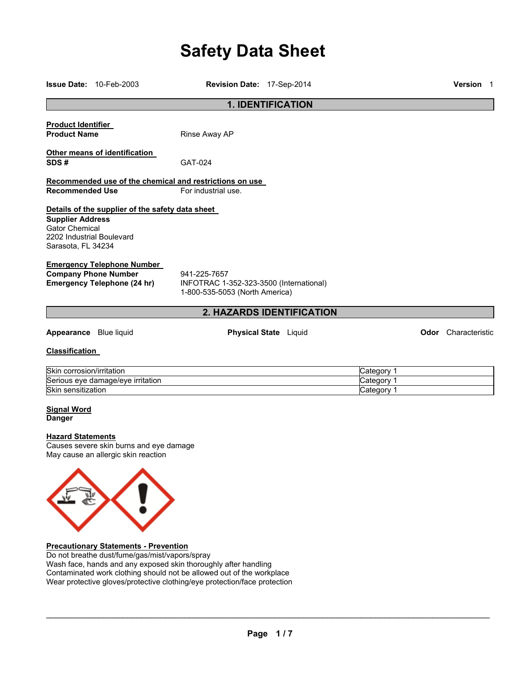# **Safety Data Sheet**

|                                                                                                     | <b>Issue Date: 10-Feb-2003</b>                                                 | Revision Date: 17-Sep-2014                                                                |                                        | Version 1                  |
|-----------------------------------------------------------------------------------------------------|--------------------------------------------------------------------------------|-------------------------------------------------------------------------------------------|----------------------------------------|----------------------------|
|                                                                                                     |                                                                                | <b>1. IDENTIFICATION</b>                                                                  |                                        |                            |
| <b>Product Identifier</b><br><b>Product Name</b>                                                    |                                                                                | Rinse Away AP                                                                             |                                        |                            |
| SDS#                                                                                                | Other means of identification                                                  | GAT-024                                                                                   |                                        |                            |
| <b>Recommended Use</b>                                                                              |                                                                                | Recommended use of the chemical and restrictions on use<br>For industrial use.            |                                        |                            |
| <b>Supplier Address</b><br><b>Gator Chemical</b><br>2202 Industrial Boulevard<br>Sarasota, FL 34234 | Details of the supplier of the safety data sheet                               |                                                                                           |                                        |                            |
| <b>Company Phone Number</b>                                                                         | <b>Emergency Telephone Number</b><br><b>Emergency Telephone (24 hr)</b>        | 941-225-7657<br>INFOTRAC 1-352-323-3500 (International)<br>1-800-535-5053 (North America) |                                        |                            |
|                                                                                                     |                                                                                | 2. HAZARDS IDENTIFICATION                                                                 |                                        |                            |
| Appearance Blue liquid                                                                              |                                                                                | <b>Physical State</b> Liquid                                                              |                                        | <b>Odor</b> Characteristic |
| <b>Classification</b>                                                                               |                                                                                |                                                                                           |                                        |                            |
| Skin corrosion/irritation<br>Skin sensitization                                                     | Serious eye damage/eye irritation                                              |                                                                                           | Category 1<br>Category 1<br>Category 1 |                            |
| <b>Signal Word</b><br><b>Danger</b>                                                                 |                                                                                |                                                                                           |                                        |                            |
| <b>Hazard Statements</b>                                                                            | Causes severe skin burns and eye damage<br>May cause an allergic skin reaction |                                                                                           |                                        |                            |
|                                                                                                     |                                                                                |                                                                                           |                                        |                            |

# **Precautionary Statements - Prevention**

Do not breathe dust/fume/gas/mist/vapors/spray Wash face, hands and any exposed skin thoroughly after handling Contaminated work clothing should not be allowed out of the workplace Wear protective gloves/protective clothing/eye protection/face protection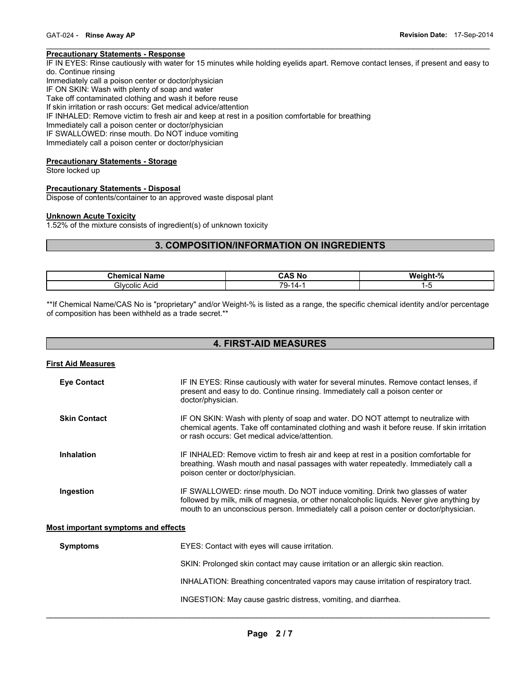#### **Precautionary Statements - Response**

IF IN EYES: Rinse cautiously with water for 15 minutes while holding eyelids apart. Remove contact lenses, if present and easy to do. Continue rinsing

 $\mathcal{L}_\mathcal{L} = \{ \mathcal{L}_\mathcal{L} = \{ \mathcal{L}_\mathcal{L} = \{ \mathcal{L}_\mathcal{L} = \{ \mathcal{L}_\mathcal{L} = \{ \mathcal{L}_\mathcal{L} = \{ \mathcal{L}_\mathcal{L} = \{ \mathcal{L}_\mathcal{L} = \{ \mathcal{L}_\mathcal{L} = \{ \mathcal{L}_\mathcal{L} = \{ \mathcal{L}_\mathcal{L} = \{ \mathcal{L}_\mathcal{L} = \{ \mathcal{L}_\mathcal{L} = \{ \mathcal{L}_\mathcal{L} = \{ \mathcal{L}_\mathcal{$ 

Immediately call a poison center or doctor/physician

IF ON SKIN: Wash with plenty of soap and water

Take off contaminated clothing and wash it before reuse

If skin irritation or rash occurs: Get medical advice/attention

IF INHALED: Remove victim to fresh air and keep at rest in a position comfortable for breathing

Immediately call a poison center or doctor/physician

IF SWALLOWED: rinse mouth. Do NOT induce vomiting

Immediately call a poison center or doctor/physician

#### **Precautionary Statements - Storage**

Store locked up

#### **Precautionary Statements - Disposal**

Dispose of contents/container to an approved waste disposal plant

#### **Unknown Acute Toxicity**

1.52% of the mixture consists of ingredient(s) of unknown toxicity

# **3. COMPOSITION/INFORMATION ON INGREDIENTS**

| Phamiaal<br><b>Name</b><br>а. | $\ddot{\phantom{1}}$<br>$\cdot$ A<br>N0<br>5AS | $^{\circ}$<br><b>Weight</b><br>70 |
|-------------------------------|------------------------------------------------|-----------------------------------|
| Glvcolic<br>Acia              | 70<br>-<br>۰д.<br>უ.                           |                                   |

\*\*If Chemical Name/CAS No is "proprietary" and/or Weight-% is listed as a range, the specific chemical identity and/or percentage of composition has been withheld as a trade secret.\*\*

# **4. FIRST-AID MEASURES**

| <b>First Aid Measures</b>           |                                                                                                                                                                                                                                                                     |
|-------------------------------------|---------------------------------------------------------------------------------------------------------------------------------------------------------------------------------------------------------------------------------------------------------------------|
| <b>Eye Contact</b>                  | IF IN EYES: Rinse cautiously with water for several minutes. Remove contact lenses, if<br>present and easy to do. Continue rinsing. Immediately call a poison center or<br>doctor/physician.                                                                        |
| <b>Skin Contact</b>                 | IF ON SKIN: Wash with plenty of soap and water. DO NOT attempt to neutralize with<br>chemical agents. Take off contaminated clothing and wash it before reuse. If skin irritation<br>or rash occurs: Get medical advice/attention.                                  |
| <b>Inhalation</b>                   | IF INHALED: Remove victim to fresh air and keep at rest in a position comfortable for<br>breathing. Wash mouth and nasal passages with water repeatedly. Immediately call a<br>poison center or doctor/physician.                                                   |
| Ingestion                           | IF SWALLOWED: rinse mouth. Do NOT induce vomiting. Drink two glasses of water<br>followed by milk, milk of magnesia, or other nonalcoholic liquids. Never give anything by<br>mouth to an unconscious person. Immediately call a poison center or doctor/physician. |
| Most important symptoms and effects |                                                                                                                                                                                                                                                                     |
| <b>Symptoms</b>                     | EYES: Contact with eyes will cause irritation.                                                                                                                                                                                                                      |

SKIN: Prolonged skin contact may cause irritation or an allergic skin reaction.

INHALATION: Breathing concentrated vapors may cause irritation of respiratory tract.

INGESTION: May cause gastric distress, vomiting, and diarrhea.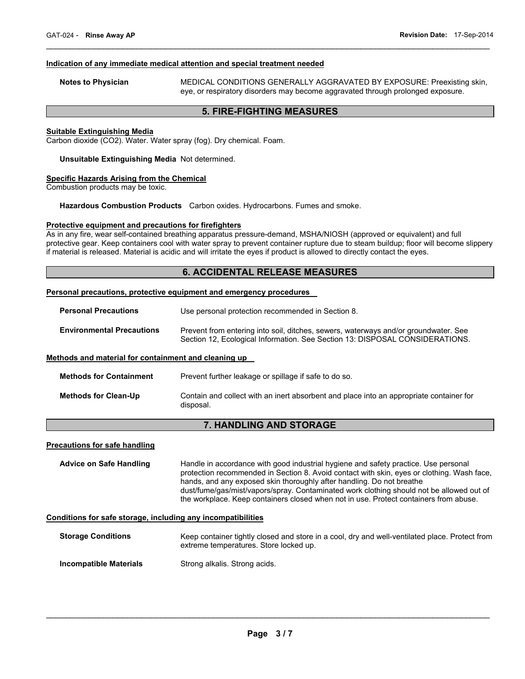#### **Indication of any immediate medical attention and special treatment needed**

**Notes to Physician** MEDICAL CONDITIONS GENERALLY AGGRAVATED BY EXPOSURE: Preexisting skin, eye, or respiratory disorders may become aggravated through prolonged exposure.

# **5. FIRE-FIGHTING MEASURES**

 $\mathcal{L}_\mathcal{L} = \{ \mathcal{L}_\mathcal{L} = \{ \mathcal{L}_\mathcal{L} = \{ \mathcal{L}_\mathcal{L} = \{ \mathcal{L}_\mathcal{L} = \{ \mathcal{L}_\mathcal{L} = \{ \mathcal{L}_\mathcal{L} = \{ \mathcal{L}_\mathcal{L} = \{ \mathcal{L}_\mathcal{L} = \{ \mathcal{L}_\mathcal{L} = \{ \mathcal{L}_\mathcal{L} = \{ \mathcal{L}_\mathcal{L} = \{ \mathcal{L}_\mathcal{L} = \{ \mathcal{L}_\mathcal{L} = \{ \mathcal{L}_\mathcal{$ 

#### **Suitable Extinguishing Media**

Carbon dioxide (CO2). Water. Water spray (fog). Dry chemical. Foam.

#### **Unsuitable Extinguishing Media** Not determined.

#### **Specific Hazards Arising from the Chemical**

Combustion products may be toxic.

**Hazardous Combustion Products** Carbon oxides. Hydrocarbons. Fumes and smoke.

#### **Protective equipment and precautions for firefighters**

As in any fire, wear self-contained breathing apparatus pressure-demand, MSHA/NIOSH (approved or equivalent) and full protective gear. Keep containers cool with water spray to prevent container rupture due to steam buildup; floor will become slippery if material is released. Material is acidic and will irritate the eyes if product is allowed to directly contact the eyes.

# **6. ACCIDENTAL RELEASE MEASURES**

#### **Personal precautions, protective equipment and emergency procedures**

| <b>Personal Precautions</b> | Use personal protection recommended in Section 8. |
|-----------------------------|---------------------------------------------------|
|-----------------------------|---------------------------------------------------|

**Environmental Precautions** Prevent from entering into soil, ditches, sewers, waterways and/or groundwater. See Section 12, Ecological Information. See Section 13: DISPOSAL CONSIDERATIONS.

# **Methods and material for containment and cleaning up**

| <b>Methods for Containment</b> | Prevent further leakage or spillage if safe to do so.                                                |
|--------------------------------|------------------------------------------------------------------------------------------------------|
| <b>Methods for Clean-Up</b>    | Contain and collect with an inert absorbent and place into an appropriate container for<br>disposal. |

# **7. HANDLING AND STORAGE**

#### **Precautions for safe handling**

**Advice on Safe Handling** Handle in accordance with good industrial hygiene and safety practice. Use personal protection recommended in Section 8. Avoid contact with skin, eyes or clothing. Wash face, hands, and any exposed skin thoroughly after handling. Do not breathe dust/fume/gas/mist/vapors/spray. Contaminated work clothing should not be allowed out of the workplace. Keep containers closed when not in use. Protect containers from abuse.

#### **Conditions for safe storage, including any incompatibilities**

| <b>Storage Conditions</b> | Keep container tightly closed and store in a cool, dry and well-ventilated place. Protect from<br>extreme temperatures. Store locked up. |
|---------------------------|------------------------------------------------------------------------------------------------------------------------------------------|
| Incompatible Materials    | Strong alkalis. Strong acids.                                                                                                            |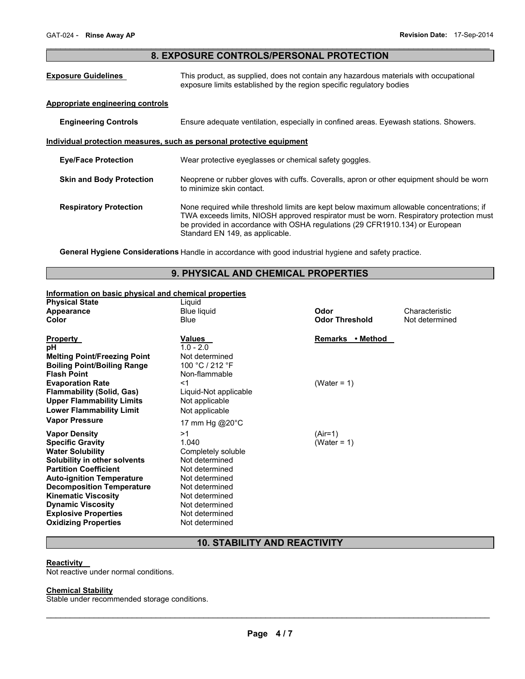# $\mathcal{L}_\mathcal{L} = \{ \mathcal{L}_\mathcal{L} = \{ \mathcal{L}_\mathcal{L} = \{ \mathcal{L}_\mathcal{L} = \{ \mathcal{L}_\mathcal{L} = \{ \mathcal{L}_\mathcal{L} = \{ \mathcal{L}_\mathcal{L} = \{ \mathcal{L}_\mathcal{L} = \{ \mathcal{L}_\mathcal{L} = \{ \mathcal{L}_\mathcal{L} = \{ \mathcal{L}_\mathcal{L} = \{ \mathcal{L}_\mathcal{L} = \{ \mathcal{L}_\mathcal{L} = \{ \mathcal{L}_\mathcal{L} = \{ \mathcal{L}_\mathcal{$ **8. EXPOSURE CONTROLS/PERSONAL PROTECTION**

| <b>Exposure Guidelines</b>       | This product, as supplied, does not contain any hazardous materials with occupational<br>exposure limits established by the region specific regulatory bodies                                                                                                                                          |  |
|----------------------------------|--------------------------------------------------------------------------------------------------------------------------------------------------------------------------------------------------------------------------------------------------------------------------------------------------------|--|
| Appropriate engineering controls |                                                                                                                                                                                                                                                                                                        |  |
| <b>Engineering Controls</b>      | Ensure adequate ventilation, especially in confined areas. Eyewash stations. Showers.                                                                                                                                                                                                                  |  |
|                                  | Individual protection measures, such as personal protective equipment                                                                                                                                                                                                                                  |  |
| <b>Eye/Face Protection</b>       | Wear protective eyeglasses or chemical safety goggles.                                                                                                                                                                                                                                                 |  |
| <b>Skin and Body Protection</b>  | Neoprene or rubber gloves with cuffs. Coveralls, apron or other equipment should be worn<br>to minimize skin contact.                                                                                                                                                                                  |  |
| <b>Respiratory Protection</b>    | None required while threshold limits are kept below maximum allowable concentrations; if<br>TWA exceeds limits, NIOSH approved respirator must be worn. Respiratory protection must<br>be provided in accordance with OSHA regulations (29 CFR1910.134) or European<br>Standard EN 149, as applicable. |  |

**General Hygiene Considerations** Handle in accordance with good industrial hygiene and safety practice.

# **9. PHYSICAL AND CHEMICAL PROPERTIES**

# **Information on basic physical and chemical properties**

| <b>Physical State</b>               | Liquid                |                       |                |
|-------------------------------------|-----------------------|-----------------------|----------------|
| Appearance                          | <b>Blue liquid</b>    | Odor                  | Characteristic |
| Color                               | <b>Blue</b>           | <b>Odor Threshold</b> | Not determined |
| <b>Property</b>                     | Values                | Remarks • Method      |                |
| рH                                  | $1.0 - 2.0$           |                       |                |
| <b>Melting Point/Freezing Point</b> | Not determined        |                       |                |
| <b>Boiling Point/Boiling Range</b>  | 100 °C / 212 °F       |                       |                |
| <b>Flash Point</b>                  | Non-flammable         |                       |                |
| <b>Evaporation Rate</b>             | <1                    | (Water = $1$ )        |                |
| <b>Flammability (Solid, Gas)</b>    | Liquid-Not applicable |                       |                |
| <b>Upper Flammability Limits</b>    | Not applicable        |                       |                |
| <b>Lower Flammability Limit</b>     | Not applicable        |                       |                |
| <b>Vapor Pressure</b>               | 17 mm Hg @20°C        |                       |                |
| Vapor Density                       | >1                    | (Air=1)               |                |
| <b>Specific Gravity</b>             | 1.040                 | (Water = 1)           |                |
| <b>Water Solubility</b>             | Completely soluble    |                       |                |
| Solubility in other solvents        | Not determined        |                       |                |
| <b>Partition Coefficient</b>        | Not determined        |                       |                |
| <b>Auto-ignition Temperature</b>    | Not determined        |                       |                |
| <b>Decomposition Temperature</b>    | Not determined        |                       |                |
| <b>Kinematic Viscosity</b>          | Not determined        |                       |                |
| <b>Dynamic Viscosity</b>            | Not determined        |                       |                |
| <b>Explosive Properties</b>         | Not determined        |                       |                |
| <b>Oxidizing Properties</b>         | Not determined        |                       |                |

# **10. STABILITY AND REACTIVITY**

#### **Reactivity**

Not reactive under normal conditions.

#### **Chemical Stability**

Stable under recommended storage conditions.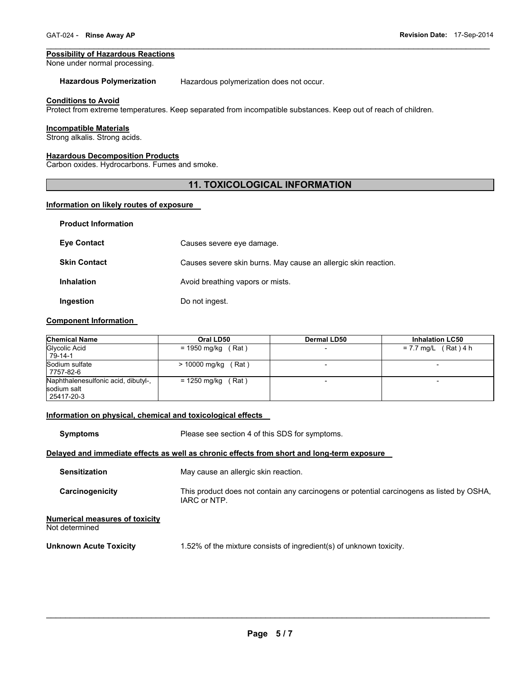#### **Possibility of Hazardous Reactions**

None under normal processing.

**Hazardous Polymerization** Hazardous polymerization does not occur.

#### **Conditions to Avoid**

Protect from extreme temperatures. Keep separated from incompatible substances. Keep out of reach of children.

#### **Incompatible Materials**

Strong alkalis. Strong acids.

**Product Information** 

# **Hazardous Decomposition Products**

Carbon oxides. Hydrocarbons. Fumes and smoke.

# **11. TOXICOLOGICAL INFORMATION**

 $\mathcal{L}_\mathcal{L} = \{ \mathcal{L}_\mathcal{L} = \{ \mathcal{L}_\mathcal{L} = \{ \mathcal{L}_\mathcal{L} = \{ \mathcal{L}_\mathcal{L} = \{ \mathcal{L}_\mathcal{L} = \{ \mathcal{L}_\mathcal{L} = \{ \mathcal{L}_\mathcal{L} = \{ \mathcal{L}_\mathcal{L} = \{ \mathcal{L}_\mathcal{L} = \{ \mathcal{L}_\mathcal{L} = \{ \mathcal{L}_\mathcal{L} = \{ \mathcal{L}_\mathcal{L} = \{ \mathcal{L}_\mathcal{L} = \{ \mathcal{L}_\mathcal{$ 

#### **Information on likely routes of exposure**

| <b>Product Information</b> |                                                                |
|----------------------------|----------------------------------------------------------------|
| <b>Eye Contact</b>         | Causes severe eye damage.                                      |
| <b>Skin Contact</b>        | Causes severe skin burns. May cause an allergic skin reaction. |
| <b>Inhalation</b>          | Avoid breathing vapors or mists.                               |
| Ingestion                  | Do not ingest.                                                 |

#### **Component Information**

| <b>Chemical Name</b>                                             | Oral LD50             | <b>Dermal LD50</b>       | <b>Inhalation LC50</b> |
|------------------------------------------------------------------|-----------------------|--------------------------|------------------------|
| Glycolic Acid<br>79-14-1                                         | $= 1950$ mg/kg (Rat)  | $\overline{\phantom{0}}$ | $= 7.7$ mg/L (Rat) 4 h |
| Sodium sulfate<br>7757-82-6                                      | $> 10000$ mg/kg (Rat) |                          |                        |
| Naphthalenesulfonic acid, dibutyl-,<br>sodium salt<br>25417-20-3 | $= 1250$ mg/kg (Rat)  |                          |                        |

# **Information on physical, chemical and toxicological effects**

**Symptoms** Please see section 4 of this SDS for symptoms.

#### **Delayed and immediate effects as well as chronic effects from short and long-term exposure**

| <b>Sensitization</b>                                    | May cause an allergic skin reaction.                                                                      |
|---------------------------------------------------------|-----------------------------------------------------------------------------------------------------------|
| Carcinogenicity                                         | This product does not contain any carcinogens or potential carcinogens as listed by OSHA,<br>IARC or NTP. |
| <b>Numerical measures of toxicity</b><br>Not determined |                                                                                                           |

**Unknown Acute Toxicity 1.52% of the mixture consists of ingredient(s) of unknown toxicity.**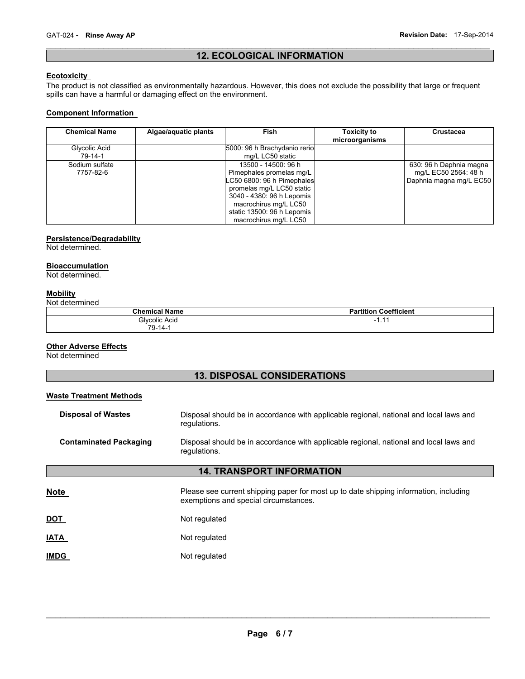# $\mathcal{L}_\mathcal{L} = \{ \mathcal{L}_\mathcal{L} = \{ \mathcal{L}_\mathcal{L} = \{ \mathcal{L}_\mathcal{L} = \{ \mathcal{L}_\mathcal{L} = \{ \mathcal{L}_\mathcal{L} = \{ \mathcal{L}_\mathcal{L} = \{ \mathcal{L}_\mathcal{L} = \{ \mathcal{L}_\mathcal{L} = \{ \mathcal{L}_\mathcal{L} = \{ \mathcal{L}_\mathcal{L} = \{ \mathcal{L}_\mathcal{L} = \{ \mathcal{L}_\mathcal{L} = \{ \mathcal{L}_\mathcal{L} = \{ \mathcal{L}_\mathcal{$ **12. ECOLOGICAL INFORMATION**

# **Ecotoxicity**

The product is not classified as environmentally hazardous. However, this does not exclude the possibility that large or frequent spills can have a harmful or damaging effect on the environment.

# **Component Information**

| <b>Chemical Name</b>        | Algae/aquatic plants | Fish                                                                                                                                                                                                                    | <b>Toxicity to</b><br>microorganisms | Crustacea                                                                  |
|-----------------------------|----------------------|-------------------------------------------------------------------------------------------------------------------------------------------------------------------------------------------------------------------------|--------------------------------------|----------------------------------------------------------------------------|
| Glycolic Acid<br>79-14-1    |                      | 5000: 96 h Brachydanio rerio<br>mg/L LC50 static                                                                                                                                                                        |                                      |                                                                            |
| Sodium sulfate<br>7757-82-6 |                      | 13500 - 14500: 96 h<br>Pimephales promelas mg/L<br>LC50 6800: 96 h Pimephales<br>promelas mg/L LC50 static<br>3040 - 4380: 96 h Lepomis<br>macrochirus mg/L LC50<br>static 13500: 96 h Lepomis<br>macrochirus mg/L LC50 |                                      | 630: 96 h Daphnia magna<br>mg/L EC50 2564: 48 h<br>Daphnia magna mg/L EC50 |

# **Persistence/Degradability**

Not determined.

#### **Bioaccumulation**

Not determined.

# **Mobility**

Not determined

| <b>Chemical Name</b> | ---<br>Coefficient<br>artitior |
|----------------------|--------------------------------|
| Glycolic Acid<br>.   | -<br>.                         |
| $70^{\circ}$<br>-14- |                                |

#### **Other Adverse Effects**

Not determined

# **13. DISPOSAL CONSIDERATIONS**

# **Waste Treatment Methods**

| <b>Disposal of Wastes</b>        | Disposal should be in accordance with applicable regional, national and local laws and<br>regulations.                         |  |  |  |  |
|----------------------------------|--------------------------------------------------------------------------------------------------------------------------------|--|--|--|--|
| <b>Contaminated Packaging</b>    | Disposal should be in accordance with applicable regional, national and local laws and<br>regulations.                         |  |  |  |  |
| <b>14. TRANSPORT INFORMATION</b> |                                                                                                                                |  |  |  |  |
| Note                             | Please see current shipping paper for most up to date shipping information, including<br>exemptions and special circumstances. |  |  |  |  |
| DOT                              | Not regulated                                                                                                                  |  |  |  |  |
| IATA                             | Not regulated                                                                                                                  |  |  |  |  |
| <b>IMDG</b>                      | Not regulated                                                                                                                  |  |  |  |  |